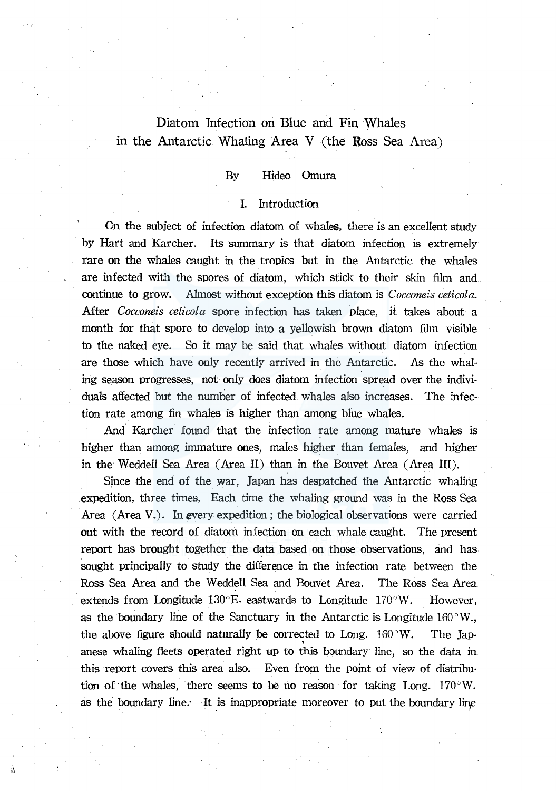# Diatom Infection on Blue and Fin Whales in the Antarctic Whaling Area V (the Ross Sea Area).

# By Hideo Omura

# I. Introduction

On the subject of infection diatom of whales, there is an excellent study by Hart and Karcher. Its summary is that djatom infection is extremely rare on the whales caught in the tropics but in the Antarctic the whales are infected with the spores of diatom, which stick to their skin film and continue to grow. Almost without exception this diatom is *Cocconeis ceticola.*  After *Cocconeis ceticola* spore infection has taken place, it takes about a month for that spore to develop into a yellowish brown diatom film visible to the naked eye. So it may be said that whales without diatom infection are those which have only recently arrived in the Antarctic. As the whaling season progresses, not only does diatom infection spread over the individuals affected but the number of infected whales also increases. The infection rate among fin whales is higher than among blue whales.

And. Karcher found that the infection rate among mature whales is higher than among immature ones, males higher than females, and higher in the Weddell Sea Area (Area II) than in the Bouvet Area (Area III).

Since the end of the war, Japan has despatched the Antarctic whaling expedition, three times. Each time the whaling ground was in the Ross Sea Area (Area V.). In every expedition ; the biological observations were carried out with the record of diatom infection on each whale caught. The present report has brought together the data based on those observations, and has sought principally to study the difference in the infection rate between the Ross Sea Area and the Weddell Sea and Bouvet Area. The Ross Sea Area extends from Longitude  $130^{\circ}E$ . eastwards to Longitude  $170^{\circ}W$ . However, as the boundary line of the Sanctuary in the Antarctic is Longitude  $160^{\circ}$ W., the above figure should naturally be corrected to Long.  $160^{\circ}$ W. The Japance above hadre should mean and the second the second of the second in the second state in an angle of the data in angle of the data in the second state in the second state in the second state in the second state in the s this report covers this area also. Even from the point of view of distribution of the whales, there seems to be no reason for taking Long.  $170^{\circ}$ W. as the boundary line. It is inappropriate moreover to put the boundary line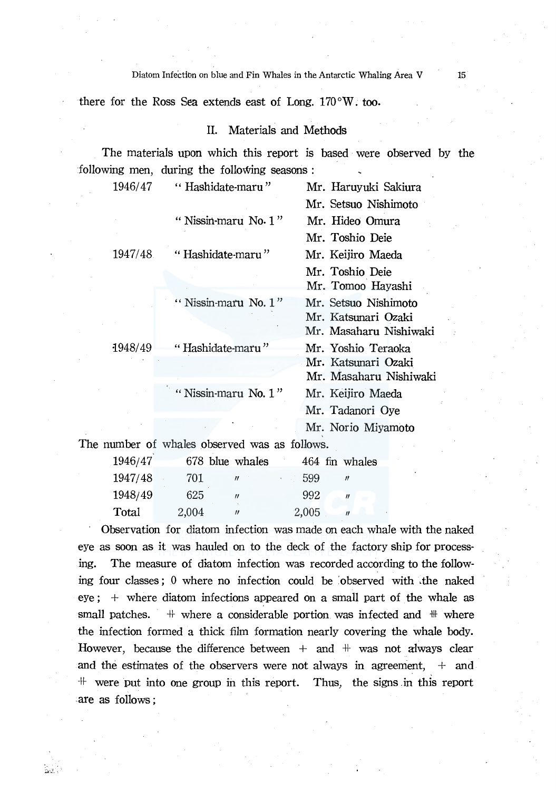Diatom Infection on blue and Fin Whales in the Antarctic Whaling Area V 15

there for the Ross Sea extends east of Long.  $170^{\circ}$ W. too.

# II. Materials and Methods

The materials upon which this report is based were observed by the following men, during the following seasons :

| 1946/47  | "Hashidate-maru"                              | Mr. Haruyuki Sakiura                                                  |
|----------|-----------------------------------------------|-----------------------------------------------------------------------|
|          |                                               | Mr. Setsuo Nishimoto                                                  |
|          | " Nissin-maru No. $1$ "                       | Mr. Hideo Omura                                                       |
|          |                                               | Mr. Toshio Deie                                                       |
| 1947/48. | "Hashidate-maru"                              | Mr. Keijiro Maeda                                                     |
|          |                                               | Mr. Toshio Deie<br>Mr. Tomoo Hayashi                                  |
|          | " Nissin-maru No. $1$ "                       | Mr. Setsuo Nishimoto<br>Mr. Katsunari Ozaki<br>Mr. Masaharu Nishiwaki |
| 1948/49  | "Hashidate-maru"                              | Mr. Yoshio Teraoka<br>Mr. Katsunari Ozaki<br>Mr. Masaharu Nishiwaki   |
|          | "Nissin-maru No. $1$ "                        | Mr. Keijiro Maeda<br>Mr. Tadanori Oye                                 |
|          |                                               | Mr. Norio Miyamoto                                                    |
|          | The number of whales observed was as follows. |                                                                       |

| 1946/47 |       | 678 blue whales   |        | 464 fin whales      |
|---------|-------|-------------------|--------|---------------------|
| 1947/48 | 701   | $^{\prime\prime}$ | $-599$ | $^{\prime\prime}$   |
| 1948/49 | 625   | $^{\prime\prime}$ | 992    | $\boldsymbol{\eta}$ |
| Total   | 2,004 | 11                | 2,005  | $\eta$              |

Observation for diatom infection was made on each whale with the naked eye as soon as it was hauled on to the deck of the factory ship for processing. The measure of diatom infection was recorded according to the following four classes; 0 where no infection could be :observed with .the naked  $eye; +$  where diatom infections appeared on a small part of the whale as small patches.  $\#$  where a considerable portion was infected and  $\#$  where the infection formed a thick film formation nearly covering the whale body. However, because the difference between  $+$  and  $+$  was not always clear and the estimates of the observers were not always in agreement,  $+$  and  $+$  were put into one group in this report. Thus, the signs in this report . are as follows ;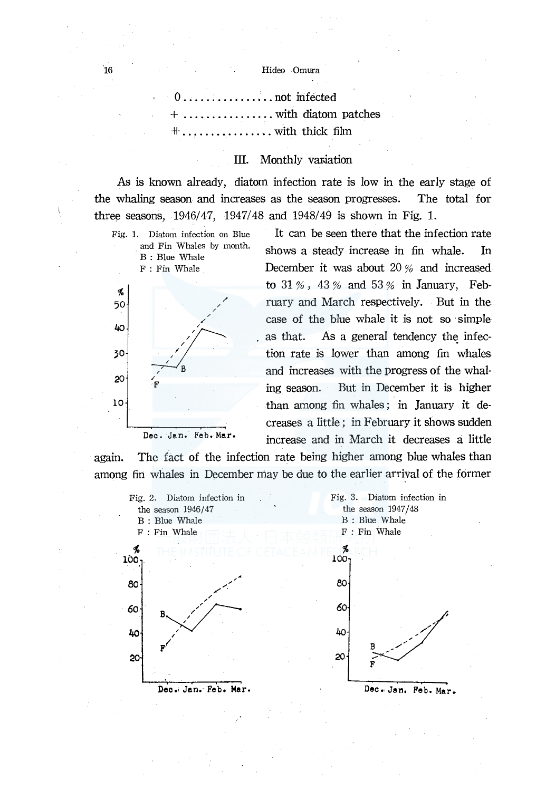...not infected ...... with diatom patches  $\dots \dots \dots$  with thick film

# III. Monthly variation

As is known already, diatom infection rate is low in the early stage of the whaling season and increases as the season progresses. The total for three seasons, 1946/47, 1947/48 and 1948/49 is shown in Fig. 1.

Fig. l. Diatom infection on Blue and Fin Whales by month. B : Blue Whale F: Fin Whale



It can be seen there that the infection rate shows a steady increase in fin whale. In December it was about 20 % and increased to  $31\%$ ,  $43\%$  and  $53\%$  in January, February and March respectively. But in the case of the blue whale it is not so simple as that. As a general tendency the infection rate is lower than among fin whales and increases with the progress of the whal· ing season. But in December it is higher than among fin whales ; in January it de· creases a little; in February it shows sudden Dec. Jen. Feb. Mer. increase and in March it decreases a little

again. The fact of the infection rate being higher among blue whales than among fin whales in December may be due to the earlier arrival of the former

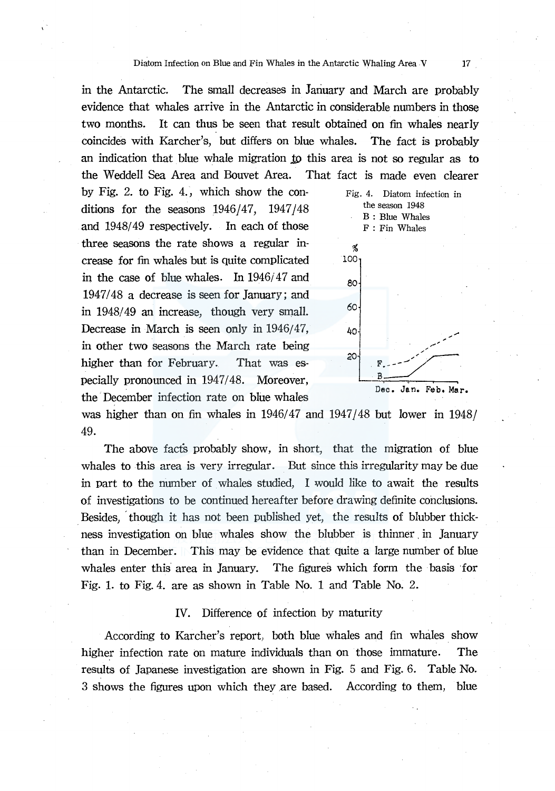in the Antarctic. The small decreases in January and March are probably evidence that whales arrive in the Antarctic in considerable numbers in those two months. It can thus be seen that result obtained on fin whales nearly coincides with Karcher's, but differs on blue whales. The fact is probably an indication that blue whale migration to this area is not so regular as to the Weddell Sea Area and Bouvet Area. That fact is made even clearer

by Fig. 2. to Fig. 4., which show the conditions for the seasons  $1946/47$ ,  $1947/48$ and 1948/49 respectively. In each of those three seasons the rate shows a regular increase for fin whales but is quite complicated in the case of blue whales. In  $1946/47$  and 1947/48 a decrease is seen for January; and in 1948/49 an increase, though very small. Decrease in March is seen only in 1946/47, in other two seasons the March rate being higher than for February. That was especially pronounced in 1947/48. Moreover, the December infection rate on blue whales



was higher than on fin whales in  $1946/47$  and  $1947/48$  but lower in  $1948/$ 49.

The above facts probably show, in short, that the migration of blue whales to this area is very irregular. But since this irregularity may be due in part to the number of whales studied, I would like to await the results of investigations to be continued hereafter before drawing definite conclusions . . Besides, , though it has not been published yet, the results of blubber thickness investigation on blue whales show the blubber is thinner in January than in December. This may be evidence that quite a large number of blue whales enter this area in January. The figures which form the basis for Fig. 1. to Fig. 4. are as shown in Table No. 1 and Table No. 2.

#### IV. Difference of infection by maturity

According to Karcher's report, both blue whales and fin whales show higher infection rate on mature individuals than on those immature. The results of Japanese investigation are shown in Fig. 5 and Fig. 6. Table No. 3 shows the figures upon which they are based. According to them, blue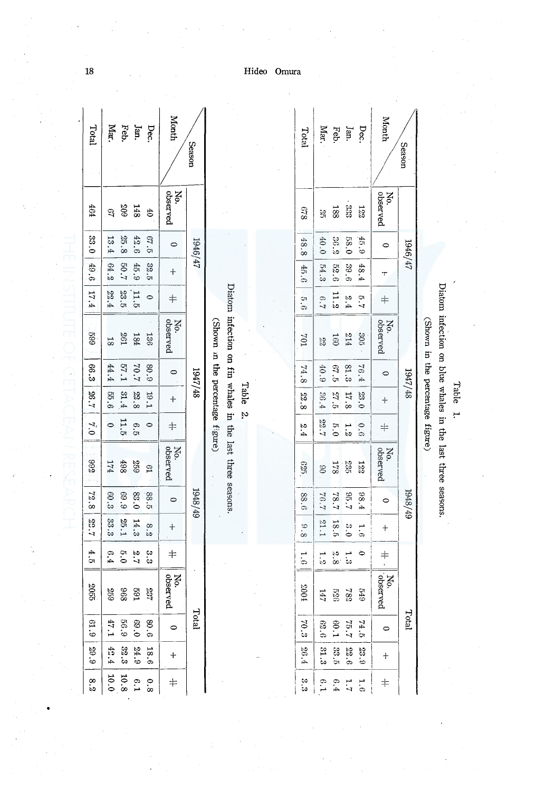| Total         | Mar.          | Feb.          | Jan.             | Dec.                             | Month            | <b>Season</b> |                                  |                                                           |       |  | Total                    | Mar.          | Feb                                  | Jan.                 | Dec.               | Month                |
|---------------|---------------|---------------|------------------|----------------------------------|------------------|---------------|----------------------------------|-----------------------------------------------------------|-------|--|--------------------------|---------------|--------------------------------------|----------------------|--------------------|----------------------|
| 464           | 3             | 209           | <b>148</b>       | 65                               | observed<br>No.  |               |                                  |                                                           |       |  | 849                      | 98<br>Di      | 188                                  | 333                  | <b>122</b>         | No.<br>observed      |
| 93.0          | 33<br>غ.      | 25.8          | 42.6             | $\mathfrak{S}$<br>$\mathfrak{p}$ | $\circ$          | 1946/47       |                                  |                                                           |       |  | 48.8                     | 0.01          | 36.2                                 | 0.83                 | 45.9               | $\circ$              |
| 6.6           | 64.2          | 20.7          | 45.9             | 32.5                             | $\boldsymbol{+}$ |               |                                  |                                                           |       |  | 45.6                     | 54.3          | 52.6                                 | 39.6                 | 48.4               | π                    |
| 17.4          | 22.4          | 23.5          | 11.5             | $\bullet$                        | $\pm$            |               |                                  |                                                           |       |  | 5.6                      | 6.7           | 11.2                                 | 2.4                  | $\overline{5}.7$   | $\ddagger$           |
| 669           | $\frac{1}{8}$ | 197           | 184              | 136                              | No.<br>observed  |               | (Shown in the percentage figure) |                                                           |       |  | 104                      | 22            | 091                                  | 214                  | $30\mathrm{S}$     | No.<br>observed      |
| 66.3          | 44.4          | 57.1          | 70.7             | 80.9                             | $\circ$          | 1947/48       |                                  |                                                           |       |  | 74.8                     | 6.9           | 67.5                                 | 81.3                 | 76.4               | $\circ$              |
| 26.7          | 55.6          | 31.4          | 22.8             | 19.1                             | $\ddag$          |               |                                  |                                                           | Table |  | 22<br>$\frac{1}{\infty}$ | 36.4          | $\mathbb{Z}^2$<br>$\frac{1}{\alpha}$ | 47<br>$\ddot{\circ}$ | 23.0               | $\ddot{\tau}$        |
| 7.0           | $\bullet$     | 11.5          | G.5              | $\bullet$                        | $\dagger$        |               |                                  |                                                           | io.   |  | b.<br>.<br>4             | 22.7          | 6.0                                  | j٥                   | $\ddot{\theta}$ .6 | $\pm$                |
| 366           | 174           | 867           | 893              | $\mathfrak{g}_1$                 | observed<br>No.  |               |                                  | Diatom infection on fin whales in the last three seasons. |       |  | 925                      | $\frac{8}{3}$ | 178                                  | 235                  | 222                | No.<br>observed      |
| 72.8          | 60.3          | 6.9           | 0.33             | 88.5                             | $\circ$          | 67/8761       |                                  |                                                           |       |  | 88.6                     | 76.7          | 78.7                                 | 7.98                 | 68.4               | $\circ$              |
| 22.7          | 33.3          | 25.1          | 14.3             | 8.2                              | $^{+}$           |               |                                  |                                                           |       |  | 8.8                      | 1.16          | 18.6                                 | $\frac{3}{5}$        | $\frac{1}{2}$      | $+$                  |
| 4<br>òч       | 6.4           | $\frac{1}{2}$ | $\frac{2}{7}$ .7 | လ<br>လ                           | $\dagger$        |               |                                  |                                                           |       |  | $\ddot{5}$               | $\frac{1}{2}$ | $\frac{2}{8}$                        | ್ಷ                   | ⊝                  | $\frac{1}{\sqrt{2}}$ |
| 2055          | 823           | 896           | T <sub>6</sub> 9 | 732                              | No.<br>observed  |               |                                  |                                                           |       |  | 1003                     | 147           | 929                                  | 782                  | 679                | No.<br>  Socrved     |
| 61.9          | 47.1          | 88.9          | 0.96             | 80.6                             | $\bullet$        | Total         |                                  |                                                           |       |  | 70.3                     | 62.6          | 0.1                                  | 75.7                 | 74.5               | $\circ$              |
| 29.9          | 42.4          | $32.3\,$      | 24.9             | 18.6                             | $\ddot{}$        |               |                                  |                                                           |       |  | 26.4                     | 31.3          | 33.5                                 | 22.6                 | 23.9               | $+$                  |
| $\frac{8}{3}$ | 10.0          | $10.8\,$      | 6.1              | 0.8                              | $\dagger$        |               |                                  |                                                           |       |  | ಲು<br>ಉ                  |               | 6.4                                  | $\overline{1}$ .7    | 1.6                | $\pm$                |

Table 1.

Diatom infection on blue whales in the last three seasons.

(Shown in the percentage figure)

1947/48

1948/49

Total

Season

 $19461/17$ 

Hideo Omura

18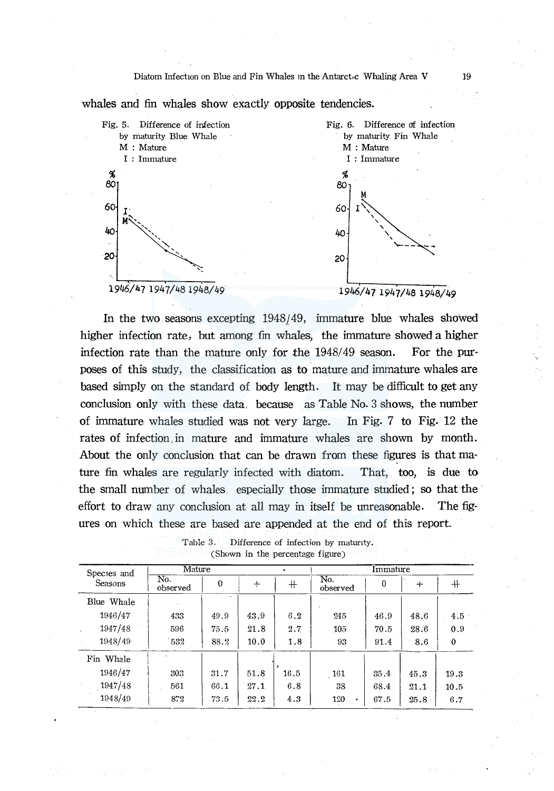



In the two seasons excepting 1948/49, immature blue whales showed higher infection rate, but among fin whales, the immature showed a higher infection rate than the mature only for the 1948/49 season. For the purposes of this study, the classification as to mature and immature whales are based simply on the standard of body length. It may be difficult to get any conclusion only with these data, because as Table No. 3 shows, the number of immature whales studied was not very large. In Fig. 7 to Fig. 12 the rates of infection in mature and immature whales are shown by month. About the only conclusion that can be drawn from these figures is that mature fin whales are regularly infected with diatom. That, too, is due to the small number of whales, especially those immature studied; so that the effort to draw any conclusion at all may in itself be unreasonable. The figures on which these are based are appended at the end of this report.

| Species and | Mature          |          |      |      | Immature              |          |      |          |  |  |
|-------------|-----------------|----------|------|------|-----------------------|----------|------|----------|--|--|
| Seasons     | No.<br>observed | $\bf{0}$ | $+$  | $^+$ | No.<br>observed       | $\bf{0}$ | $+$  | $+$      |  |  |
| Blue Whale  |                 |          |      |      |                       |          |      |          |  |  |
| 1946/47     | 433             | 49.9     | 43.9 | 6.2  | 245                   | 46.9     | 48.6 | 4.5      |  |  |
| 1947/48     | 596             | 75.5     | 21.8 | 2.7  | 105                   | 70.5     | 28.6 | 0.9      |  |  |
| 1948/49     | 532             | 88.2     | 10.0 | 1.8  | 93                    | 91.4     | 8.6  | $\theta$ |  |  |
| Fin Whale   |                 |          |      |      |                       |          |      |          |  |  |
| 1946/47     | 303             | 31.7     | 51.8 | 16.5 | $\lfloor 161 \rfloor$ | 35.4     | 45.3 | 19.3     |  |  |
| 1947/48     | 561             | 66.1     | 27.1 | 6.8  | 38                    | 68.4     | 21.1 | 10.5     |  |  |
| 1948/49     | 872             | 73.5     | 22.2 | 4.3  | 120                   | 67.5     | 25.8 | 6.7      |  |  |

Table 3. Difference of infection by maturity. (Shown in the percentage figure)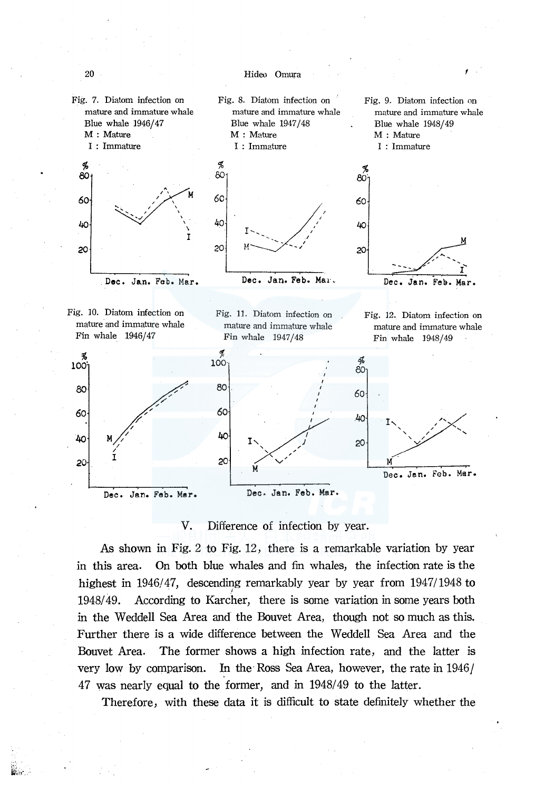

V. Difference of infection by year.

As shown in Fig. 2 to Fig. 12, there is a remarkable variation by year m this area. On both blue whales and fin whales, the infection rate is the highest in  $1946/47$ , descending remarkably year by year from  $1947/1948$  to 1948/ 49. According to Karcher, there is some variation in some years both in the Weddell Sea Area and the Bouvet Area, though not so much as this. Further there is a wide difference between the Weddell Sea Area and the Bouvet Area. The former shows a high infection rate, and the latter is very low by comparison. In the Ross Sea Area, however, the rate in 1946/ 4 7 was nearly equal to the former, and in 1948/ 49 to the latter.

Therefore, with these data it is difficult to state definitely whether the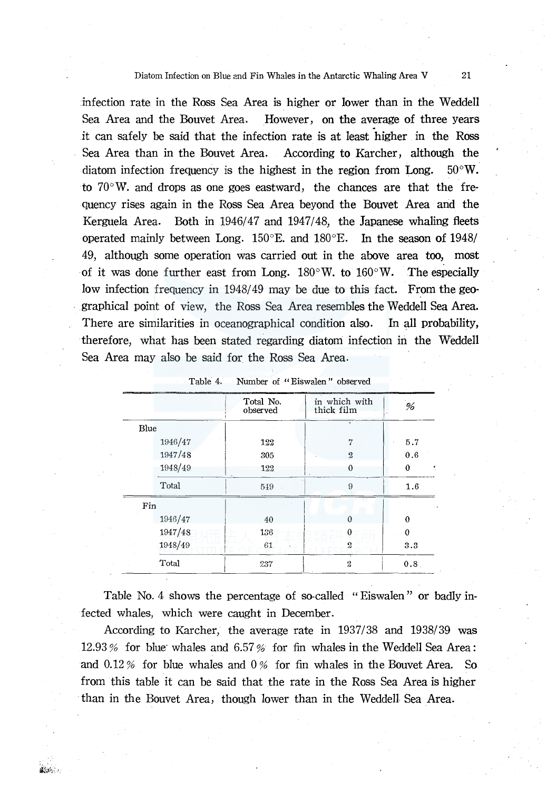#### Diatom Infection on Blue and Fin Whales in the Antarctic Whaling Area V 21

infection rate in the Ross Sea Area is higher or lower than in the Weddell Sea Area and the Bouvet Area. However, on the average of three years it can safely be said that the infection rate is at least higher in the Ross Sea Area than in the Bouvet Area. According to Karcher, although the diatom infection frequency is the highest in the region from Long.  $50^{\circ}$ W. to  $70^{\circ}$ W. and drops as one goes eastward, the chances are that the frequency rises again in the Ross Sea Area beyond the Bouvet Area and the Kerguela Area. Both in 1946/47 and 1947/48, the Japanese whaling fleets operated mainly between Long. 150°E. and 180°E. In the season of 1948/ 49, although some operation was carried out in the above area too, most of it was done further east from Long.  $180^{\circ}$ W. to  $160^{\circ}$ W. The especially low infection frequency in 1948/49 may be due to this fact. From the geographical point of view, the Ross Sea Area resembles the Weddell Sea Area. There are similarities in oceanographical condition also. In all probability, therefore, what has been stated regarding diatom infection in the Weddell Sea Area may also be said for the Ross Sea Area.

|         | Total No.<br>observed | in which with<br>thick film | %        |  |
|---------|-----------------------|-----------------------------|----------|--|
| Blue    |                       | ¥.                          |          |  |
| 1946/47 | 122                   | 7                           | 5.7      |  |
| 1947/48 | 305                   | $\boldsymbol{\Omega}$       | 0.6      |  |
| 1948/49 | 122                   | $\theta$                    | 0        |  |
| Total   | 549                   | 9                           | 1.6      |  |
| Fin     |                       |                             |          |  |
| 1946/47 | 40                    | 0                           | $\theta$ |  |
| 1947/48 | 136                   | 0                           | $\Omega$ |  |
| 1948/49 | 61                    | 2                           | 3.3      |  |
| Total   | 237                   | $\overline{2}$              | 0.8      |  |

| Table 4. |  | Number of "Eiswalen" observed |  |
|----------|--|-------------------------------|--|
|          |  |                               |  |

Table No. 4 shows the percentage of so-called "Eiswalen" or badly infected whales, which were caught in December.

According to Karcher, the average rate in 1937/38 and 1938/39 was 12.93% for blue whales and 6.57% for fin whales in the Weddell Sea Area: and  $0.12\%$  for blue whales and  $0\%$  for fin whales in the Bouvet Area. So from this table it can be said that the rate in the Ross Sea Area is higher than in the Bouvet Area, though lower than in the Weddell Sea Area.

経済のよう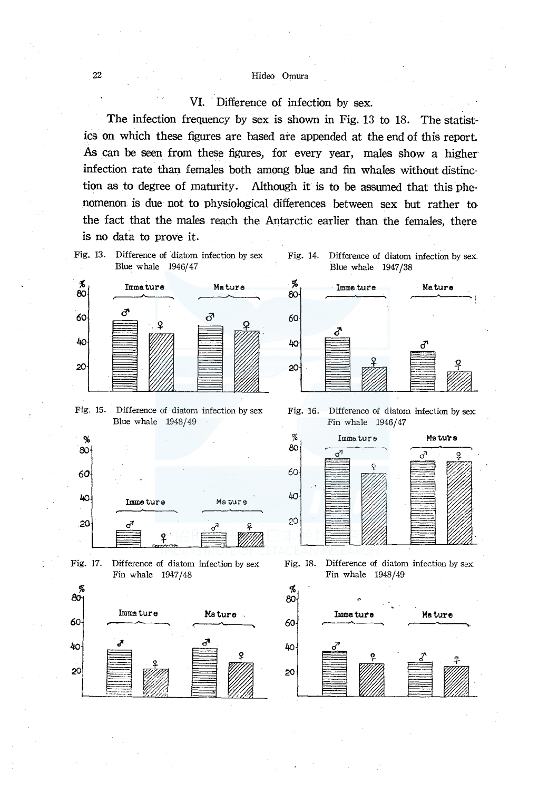# VI. Difference of infection by sex.

The infection frequency by sex is shown in Fig. 13 to 18. The statistics on which these figures are based are appended at the end of this report. As can be seen from these figures, for every year, males show a higher infection rate than females both among blue and fin whales without distinction as to degree of maturity. Although it is to be assumed that this phenomenon is due not to physiological differences between sex but rather to the fact that the males reach the Antarctic earlier than the females, there is no data to prove it.



Fig. 15. Difference of diatom infection by sex Blue whale  $1948/49$ 







Fig. 16. Difference of diatom infection by sex: Fin whale 1946/47



Fig. 18. Difference of diatom infection by sex Fin whale 1948/49

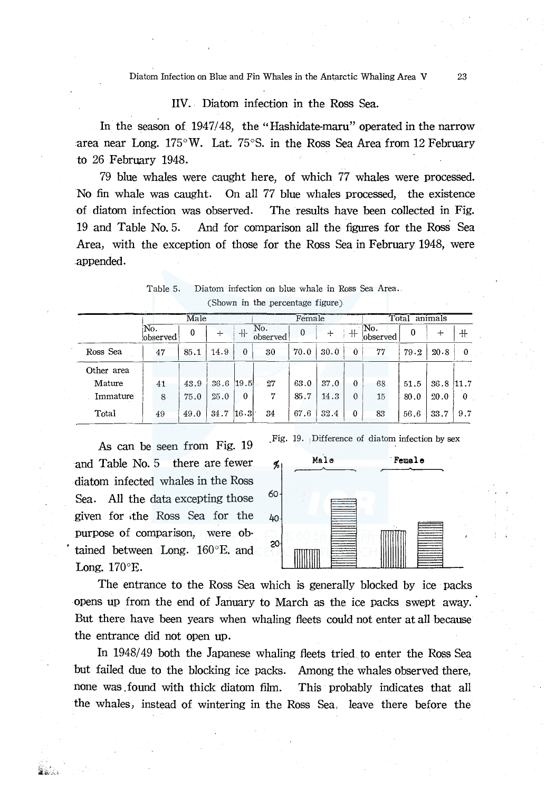Diatom Infection on Blue and Fin Whales in the Antarctic Whaling Area V

# IIV. Diatom infection in the Ross Sea.

In the season of 1947/48, the "Hashidate-maru" operated in the narrow area near Long. 175°W. Lat. 75°S. in the Ross Sea Area from 12 February to 26 February 1948.

79 blue whales were caught here, of which 77 whales were processed. No fin whale was caught. On all 77 blue whales processed, the existence of diatom infection was observed. The results have been collected in Fig. 19 and Table No. 5. And for comparison all the figures for the Ross Sea Area, with the exception of those for the Ross Sea in February 1948, were appended.

|            |                 | Male     |             | Female   |                 |          |      | Total<br>animals |                  |                |      |              |
|------------|-----------------|----------|-------------|----------|-----------------|----------|------|------------------|------------------|----------------|------|--------------|
|            | No.<br>observed | $\Omega$ | ┿           | $+$      | No.<br>observed | $\theta$ | $+$  | $+$              | No.<br>lobserved | $\overline{0}$ |      | $^{\rm +}$   |
| Ross Sea   | 47              | 85.1     | 14.9        | $\Omega$ | 30              | 70.0     | 30.0 | $\bf{0}$         | 77               | 79.2           | 20.8 | $\mathbf{0}$ |
| Other area |                 |          |             |          |                 |          |      |                  |                  |                |      |              |
| Mature     | 41              | 43.9     | $36.6$ 19.5 |          | 27              | 63.0     | 37.0 | $\theta$         | 68               | 51.5           | 36.8 | 11.7         |
| Immature   | 8               | 75.0     | 25.0        | 0        | 7               | 85.7     | 14.3 | $\theta$         | 15               | 80.0           | 20.0 | $\Omega$     |
| Total      | 49              | 49.0     | 34.7        | 16.3     | 34              | 67.6     | 32.4 | $\mathbf{0}$     | 83               | 56.6           | 33.7 | 9.7          |

| Table 5. | Diatom infection on blue whale in Ross Sea Area. |
|----------|--------------------------------------------------|
|          | (Shown in the percentage figure)                 |

As can be seen from Fig. 19 and Table No. 5 there are fewer diatom infected whales in the Ross Sea. All the data excepting those given for the Ross Sea for the purpose of comparison, were obtained between Long. 160°E. and Long.  $170^\circ$ E.

Fig. 19. Difference of diatom infection by sex



The entrance to the Ross Sea which is generally blocked by ice packs opens up from the end of January to March as the ice packs swept away. But there have been years when whaling fleets could not enter at all because the entrance did not open up.

In 1948/49 both the Japanese whaling fleets tried to enter the Ross Sea but failed due to the blocking ice packs. Among the whales observed there, none was found with thick diatom film. This probably indicates that all the whales, instead of wintering in the Ross Sea, leave there before the

23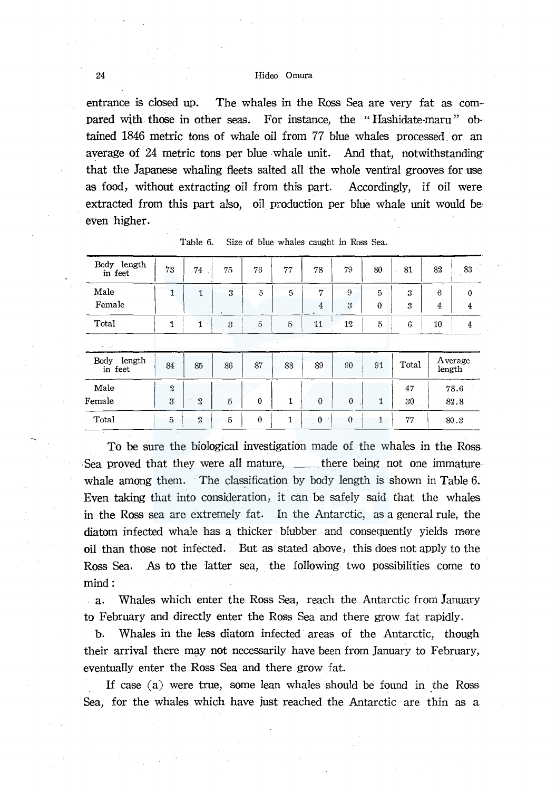entrance is closed up. The whales in the Ross Sea are very fat as compared with those in other seas. For instance, the "Hashidate-maru" obtained 1846 metric tons of whale oil from 77 blue whales processed or an average of 24 metric tons per blue whale unit. And that, notwithstanding that the Japanese whaling fleets salted all the whole ventral grooves for use as food, without extracting oil from this part. Accordingly, if oil were extracted from this part also, oil production per blue whale unit would be even higher.

| Body length<br>in feet         | 73                                        | 74             | 75 | 76             | 77              | 78                  | 79           | 80                         | 81       | 82                  | 83                         |
|--------------------------------|-------------------------------------------|----------------|----|----------------|-----------------|---------------------|--------------|----------------------------|----------|---------------------|----------------------------|
| Male<br>Female                 | 1                                         | 1              | 3  | 5              | 5               | 7<br>$\overline{4}$ | 9<br>3       | $\overline{5}$<br>$\bf{0}$ | 3<br>3   | 6<br>$\overline{4}$ | $\theta$<br>$\overline{4}$ |
| Total                          | 1                                         | 1<br>$\sim$    | 3  | $\overline{5}$ | $5\overline{5}$ | 11                  | 12           | $\overline{5}$             | 6        | 10                  | $\overline{4}$             |
| $\mathbf{r} = \mathbf{r}^{-1}$ |                                           |                |    |                |                 |                     |              |                            |          |                     |                            |
| Body length<br>in feet         | 84                                        | 85             | 86 | 87             | 88              | 89                  | 90           | 91                         | Total    | length              | Average                    |
| Male<br>Female                 | $\boldsymbol{2}$<br>$\mathbf{3}^{\prime}$ | $\mathfrak{2}$ | 5  | $\bf{0}$       | 1               | $\theta$            | $\mathbf{0}$ | $\mathbf{1}$               | 47<br>30 |                     | 78.6<br>82.8               |
| Total                          | $\overline{5}$                            | $\overline{2}$ | 5  | $\bf{0}$       | 1               | $\mathbf{0}$        | $\mathbf{0}$ | $1 -$                      | 77       |                     | 80.3                       |

Table 6. Size of blue whales caught in Ross Sea.

To be sure the biological investigation made of the whales in the Ross Sea proved that they were all mature, \_\_\_\_ there being not one immature whale among them. The classification by body length is shown in Table 6. Even taking that into consideration, it can be safely said that the whales in the Ross sea are extremely fat. In the Antarctic, as a general rule, the diatom infected whale has a thicker blubber and consequently yields more oil than those not infected. But as stated above, this does not apply to the Ross Sea. As to the latter sea, the following two possibilities come to mind:

a. Whales which enter the Ross Sea, reach the Antarctic from January to February and directly enter the Ross Sea and there grow fat rapidly.

b. Whales in the less diatom infected areas of the Antarctic, though their arrival there may not necessarily have been from January to February, eventually enter the Ross Sea and there grow fat.

If case  $(a)$  were true, some lean whales should be found in the Ross Sea, for the whales which have just reached the Antarctic are thin as a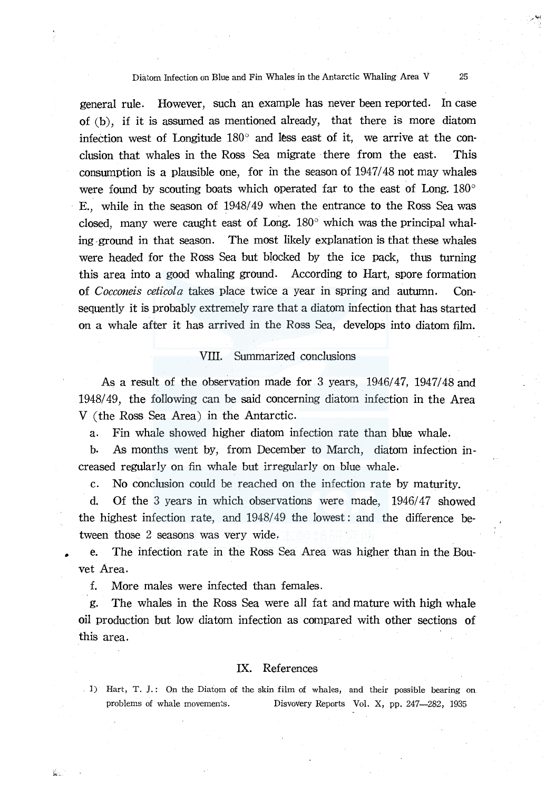# Diatom Infection on Blue and Fin Whales in the Antarctic Whaling Area V 25

general rule. However, such an example has never been reported. In case of (b), if it is assumed as mentioned already, that there is more diatom infeetion west of Longitude 180° and less east of it, we arrive at the conclusion that whales in the Ross Sea migrate there from the east. This consumption is a plausible one, for in the season of  $1947/48$  not may whales were found by scouting boats which operated far to the east of Long.  $180^{\circ}$ E., while in the season of 1948/49 when the entrance to the Ross Sea was closed, many were caught east of Long.  $180^{\circ}$  which was the principal whaling -ground in that season. The most likely explanation is that these whales were headed for the Ross Sea but blocked by the ice pack, thus turning this area into a good whaling ground. According to Hart, spore formation of *Cocconeis ceticola* takes place twice a year in spring and autumn. Consequently it is probably extremely rare that a diatom infection that has started on a whale after it has arrived in the Ross Sea, develops into diatom film.

### Vll. Summarized conclusions

As a result of the observation made for 3 years,  $1946/47$ ,  $1947/48$  and 1948/ 49, the following can be said concerning diatom infection in the Area V (the Ross Sea Area) in the Antarctic.

a. Fin whale showed higher diatom infection rate than blue whale.

b. As months went by, from December to March, diatom infection increased regularly on fin whale but irregularly on blue whale.

c. No conclusion could be reached on the infection rate by maturity.

d. Of the 3 years in which observations were made, 1946/47 showed the highest infection rate, and 1948/49 the lowest: and the difference between those 2 seasons was very wide,

e. The infection rate in the Ross Sea Area was higher than in the Bouvet Area.

f. More males were infected than females.

g. The whales in the Ross Sea were all fat and mature with high whale oil production but low diatom infection as compared with other sections of this area.

#### IX. References

1) Hart, T. *].* : On the Diatom of the skin film of whales, and their possible bearing on problems of whale movements. Disvovery Reports Vol. X, pp. 247-282, 1935

Úс.